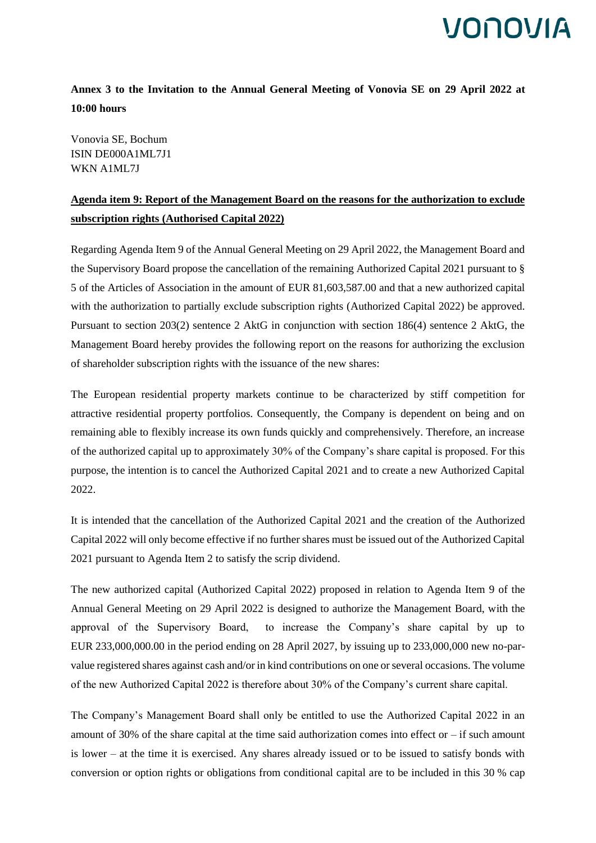#### **Annex 3 to the Invitation to the Annual General Meeting of Vonovia SE on 29 April 2022 at 10:00 hours**

Vonovia SE, Bochum ISIN DE000A1ML7J1 WKN A1ML7J

#### **Agenda item 9: Report of the Management Board on the reasons for the authorization to exclude subscription rights (Authorised Capital 2022)**

Regarding Agenda Item 9 of the Annual General Meeting on 29 April 2022, the Management Board and the Supervisory Board propose the cancellation of the remaining Authorized Capital 2021 pursuant to § 5 of the Articles of Association in the amount of EUR 81,603,587.00 and that a new authorized capital with the authorization to partially exclude subscription rights (Authorized Capital 2022) be approved. Pursuant to section 203(2) sentence 2 AktG in conjunction with section 186(4) sentence 2 AktG, the Management Board hereby provides the following report on the reasons for authorizing the exclusion of shareholder subscription rights with the issuance of the new shares:

The European residential property markets continue to be characterized by stiff competition for attractive residential property portfolios. Consequently, the Company is dependent on being and on remaining able to flexibly increase its own funds quickly and comprehensively. Therefore, an increase of the authorized capital up to approximately 30% of the Company's share capital is proposed. For this purpose, the intention is to cancel the Authorized Capital 2021 and to create a new Authorized Capital 2022.

It is intended that the cancellation of the Authorized Capital 2021 and the creation of the Authorized Capital 2022 will only become effective if no further shares must be issued out of the Authorized Capital 2021 pursuant to Agenda Item 2 to satisfy the scrip dividend.

The new authorized capital (Authorized Capital 2022) proposed in relation to Agenda Item 9 of the Annual General Meeting on 29 April 2022 is designed to authorize the Management Board, with the approval of the Supervisory Board, to increase the Company's share capital by up to EUR 233,000,000.00 in the period ending on 28 April 2027, by issuing up to 233,000,000 new no-parvalue registered shares against cash and/or in kind contributions on one or several occasions. The volume of the new Authorized Capital 2022 is therefore about 30% of the Company's current share capital.

The Company's Management Board shall only be entitled to use the Authorized Capital 2022 in an amount of 30% of the share capital at the time said authorization comes into effect or – if such amount is lower – at the time it is exercised. Any shares already issued or to be issued to satisfy bonds with conversion or option rights or obligations from conditional capital are to be included in this 30 % cap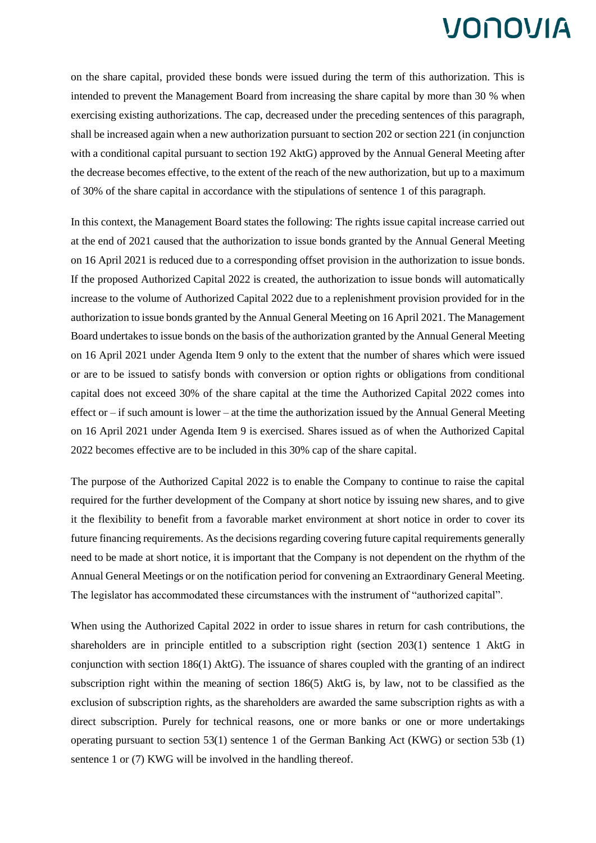on the share capital, provided these bonds were issued during the term of this authorization. This is intended to prevent the Management Board from increasing the share capital by more than 30 % when exercising existing authorizations. The cap, decreased under the preceding sentences of this paragraph, shall be increased again when a new authorization pursuant to section 202 or section 221 (in conjunction with a conditional capital pursuant to section 192 AktG) approved by the Annual General Meeting after the decrease becomes effective, to the extent of the reach of the new authorization, but up to a maximum of 30% of the share capital in accordance with the stipulations of sentence 1 of this paragraph.

In this context, the Management Board states the following: The rights issue capital increase carried out at the end of 2021 caused that the authorization to issue bonds granted by the Annual General Meeting on 16 April 2021 is reduced due to a corresponding offset provision in the authorization to issue bonds. If the proposed Authorized Capital 2022 is created, the authorization to issue bonds will automatically increase to the volume of Authorized Capital 2022 due to a replenishment provision provided for in the authorization to issue bonds granted by the Annual General Meeting on 16 April 2021. The Management Board undertakes to issue bonds on the basis of the authorization granted by the Annual General Meeting on 16 April 2021 under Agenda Item 9 only to the extent that the number of shares which were issued or are to be issued to satisfy bonds with conversion or option rights or obligations from conditional capital does not exceed 30% of the share capital at the time the Authorized Capital 2022 comes into effect or  $-i$  f such amount is lower – at the time the authorization issued by the Annual General Meeting on 16 April 2021 under Agenda Item 9 is exercised. Shares issued as of when the Authorized Capital 2022 becomes effective are to be included in this 30% cap of the share capital.

The purpose of the Authorized Capital 2022 is to enable the Company to continue to raise the capital required for the further development of the Company at short notice by issuing new shares, and to give it the flexibility to benefit from a favorable market environment at short notice in order to cover its future financing requirements. As the decisions regarding covering future capital requirements generally need to be made at short notice, it is important that the Company is not dependent on the rhythm of the Annual General Meetings or on the notification period for convening an Extraordinary General Meeting. The legislator has accommodated these circumstances with the instrument of "authorized capital".

When using the Authorized Capital 2022 in order to issue shares in return for cash contributions, the shareholders are in principle entitled to a subscription right (section 203(1) sentence 1 AktG in conjunction with section 186(1) AktG). The issuance of shares coupled with the granting of an indirect subscription right within the meaning of section 186(5) AktG is, by law, not to be classified as the exclusion of subscription rights, as the shareholders are awarded the same subscription rights as with a direct subscription. Purely for technical reasons, one or more banks or one or more undertakings operating pursuant to section 53(1) sentence 1 of the German Banking Act (KWG) or section 53b (1) sentence 1 or (7) KWG will be involved in the handling thereof.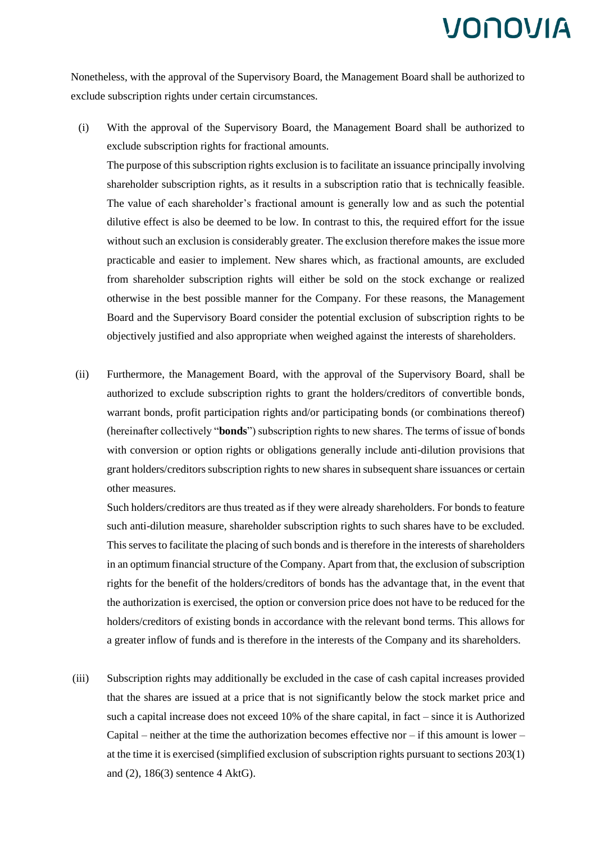Nonetheless, with the approval of the Supervisory Board, the Management Board shall be authorized to exclude subscription rights under certain circumstances.

(i) With the approval of the Supervisory Board, the Management Board shall be authorized to exclude subscription rights for fractional amounts.

The purpose of this subscription rights exclusion is to facilitate an issuance principally involving shareholder subscription rights, as it results in a subscription ratio that is technically feasible. The value of each shareholder's fractional amount is generally low and as such the potential dilutive effect is also be deemed to be low. In contrast to this, the required effort for the issue without such an exclusion is considerably greater. The exclusion therefore makes the issue more practicable and easier to implement. New shares which, as fractional amounts, are excluded from shareholder subscription rights will either be sold on the stock exchange or realized otherwise in the best possible manner for the Company. For these reasons, the Management Board and the Supervisory Board consider the potential exclusion of subscription rights to be objectively justified and also appropriate when weighed against the interests of shareholders.

(ii) Furthermore, the Management Board, with the approval of the Supervisory Board, shall be authorized to exclude subscription rights to grant the holders/creditors of convertible bonds, warrant bonds, profit participation rights and/or participating bonds (or combinations thereof) (hereinafter collectively "**bonds**") subscription rights to new shares. The terms of issue of bonds with conversion or option rights or obligations generally include anti-dilution provisions that grant holders/creditors subscription rights to new shares in subsequent share issuances or certain other measures.

Such holders/creditors are thus treated as if they were already shareholders. For bonds to feature such anti-dilution measure, shareholder subscription rights to such shares have to be excluded. This serves to facilitate the placing of such bonds and is therefore in the interests of shareholders in an optimum financial structure of the Company. Apart from that, the exclusion of subscription rights for the benefit of the holders/creditors of bonds has the advantage that, in the event that the authorization is exercised, the option or conversion price does not have to be reduced for the holders/creditors of existing bonds in accordance with the relevant bond terms. This allows for a greater inflow of funds and is therefore in the interests of the Company and its shareholders.

(iii) Subscription rights may additionally be excluded in the case of cash capital increases provided that the shares are issued at a price that is not significantly below the stock market price and such a capital increase does not exceed 10% of the share capital, in fact – since it is Authorized Capital – neither at the time the authorization becomes effective nor  $-$  if this amount is lower – at the time it is exercised (simplified exclusion of subscription rights pursuant to sections 203(1) and (2), 186(3) sentence 4 AktG).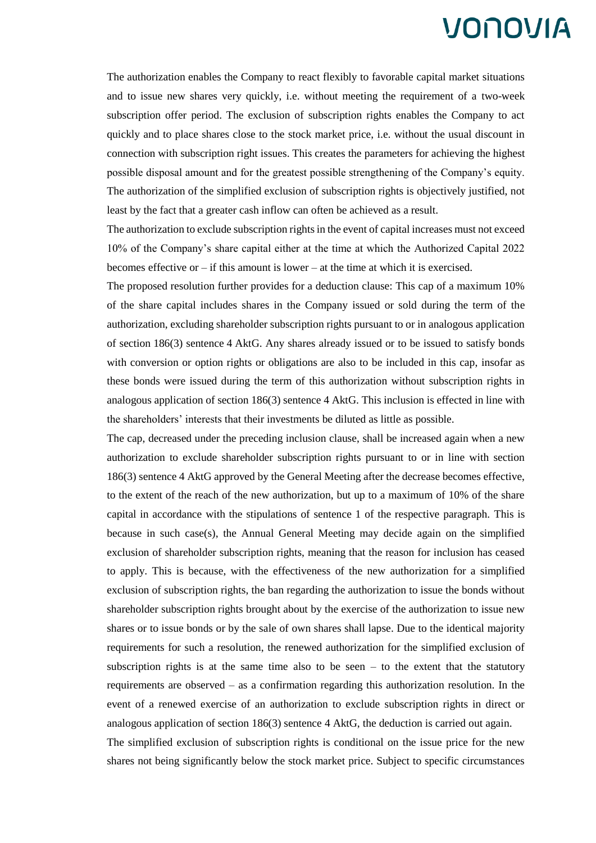The authorization enables the Company to react flexibly to favorable capital market situations and to issue new shares very quickly, i.e. without meeting the requirement of a two-week subscription offer period. The exclusion of subscription rights enables the Company to act quickly and to place shares close to the stock market price, i.e. without the usual discount in connection with subscription right issues. This creates the parameters for achieving the highest possible disposal amount and for the greatest possible strengthening of the Company's equity. The authorization of the simplified exclusion of subscription rights is objectively justified, not least by the fact that a greater cash inflow can often be achieved as a result.

The authorization to exclude subscription rights in the event of capital increases must not exceed 10% of the Company's share capital either at the time at which the Authorized Capital 2022 becomes effective or – if this amount is lower – at the time at which it is exercised.

The proposed resolution further provides for a deduction clause: This cap of a maximum 10% of the share capital includes shares in the Company issued or sold during the term of the authorization, excluding shareholder subscription rights pursuant to or in analogous application of section 186(3) sentence 4 AktG. Any shares already issued or to be issued to satisfy bonds with conversion or option rights or obligations are also to be included in this cap, insofar as these bonds were issued during the term of this authorization without subscription rights in analogous application of section 186(3) sentence 4 AktG. This inclusion is effected in line with the shareholders' interests that their investments be diluted as little as possible.

The cap, decreased under the preceding inclusion clause, shall be increased again when a new authorization to exclude shareholder subscription rights pursuant to or in line with section 186(3) sentence 4 AktG approved by the General Meeting after the decrease becomes effective, to the extent of the reach of the new authorization, but up to a maximum of 10% of the share capital in accordance with the stipulations of sentence 1 of the respective paragraph. This is because in such case(s), the Annual General Meeting may decide again on the simplified exclusion of shareholder subscription rights, meaning that the reason for inclusion has ceased to apply. This is because, with the effectiveness of the new authorization for a simplified exclusion of subscription rights, the ban regarding the authorization to issue the bonds without shareholder subscription rights brought about by the exercise of the authorization to issue new shares or to issue bonds or by the sale of own shares shall lapse. Due to the identical majority requirements for such a resolution, the renewed authorization for the simplified exclusion of subscription rights is at the same time also to be seen  $-$  to the extent that the statutory requirements are observed – as a confirmation regarding this authorization resolution. In the event of a renewed exercise of an authorization to exclude subscription rights in direct or analogous application of section 186(3) sentence 4 AktG, the deduction is carried out again.

The simplified exclusion of subscription rights is conditional on the issue price for the new shares not being significantly below the stock market price. Subject to specific circumstances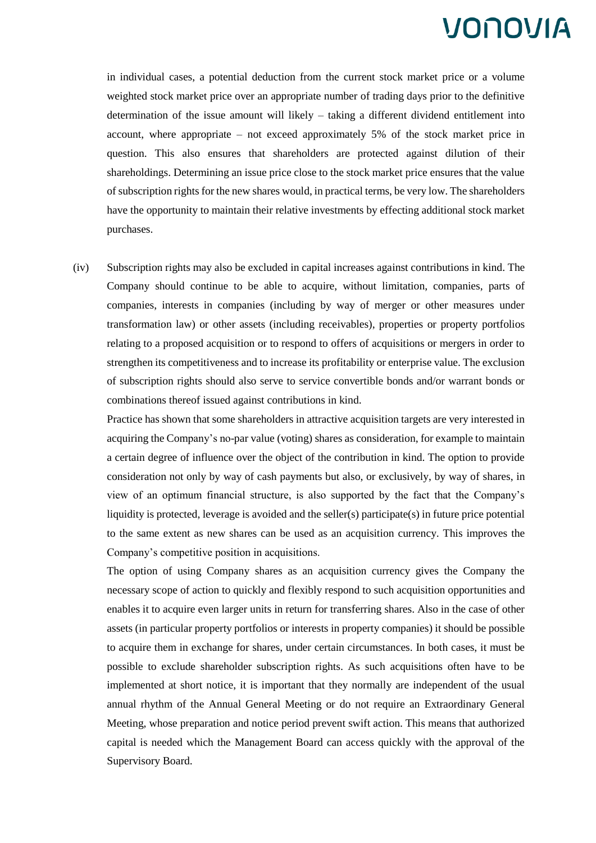in individual cases, a potential deduction from the current stock market price or a volume weighted stock market price over an appropriate number of trading days prior to the definitive determination of the issue amount will likely  $-$  taking a different dividend entitlement into account, where appropriate – not exceed approximately 5% of the stock market price in question. This also ensures that shareholders are protected against dilution of their shareholdings. Determining an issue price close to the stock market price ensures that the value of subscription rights for the new shares would, in practical terms, be very low. The shareholders have the opportunity to maintain their relative investments by effecting additional stock market purchases.

(iv) Subscription rights may also be excluded in capital increases against contributions in kind. The Company should continue to be able to acquire, without limitation, companies, parts of companies, interests in companies (including by way of merger or other measures under transformation law) or other assets (including receivables), properties or property portfolios relating to a proposed acquisition or to respond to offers of acquisitions or mergers in order to strengthen its competitiveness and to increase its profitability or enterprise value. The exclusion of subscription rights should also serve to service convertible bonds and/or warrant bonds or combinations thereof issued against contributions in kind.

Practice has shown that some shareholders in attractive acquisition targets are very interested in acquiring the Company's no-par value (voting) shares as consideration, for example to maintain a certain degree of influence over the object of the contribution in kind. The option to provide consideration not only by way of cash payments but also, or exclusively, by way of shares, in view of an optimum financial structure, is also supported by the fact that the Company's liquidity is protected, leverage is avoided and the seller(s) participate(s) in future price potential to the same extent as new shares can be used as an acquisition currency. This improves the Company's competitive position in acquisitions.

The option of using Company shares as an acquisition currency gives the Company the necessary scope of action to quickly and flexibly respond to such acquisition opportunities and enables it to acquire even larger units in return for transferring shares. Also in the case of other assets (in particular property portfolios or interests in property companies) it should be possible to acquire them in exchange for shares, under certain circumstances. In both cases, it must be possible to exclude shareholder subscription rights. As such acquisitions often have to be implemented at short notice, it is important that they normally are independent of the usual annual rhythm of the Annual General Meeting or do not require an Extraordinary General Meeting, whose preparation and notice period prevent swift action. This means that authorized capital is needed which the Management Board can access quickly with the approval of the Supervisory Board.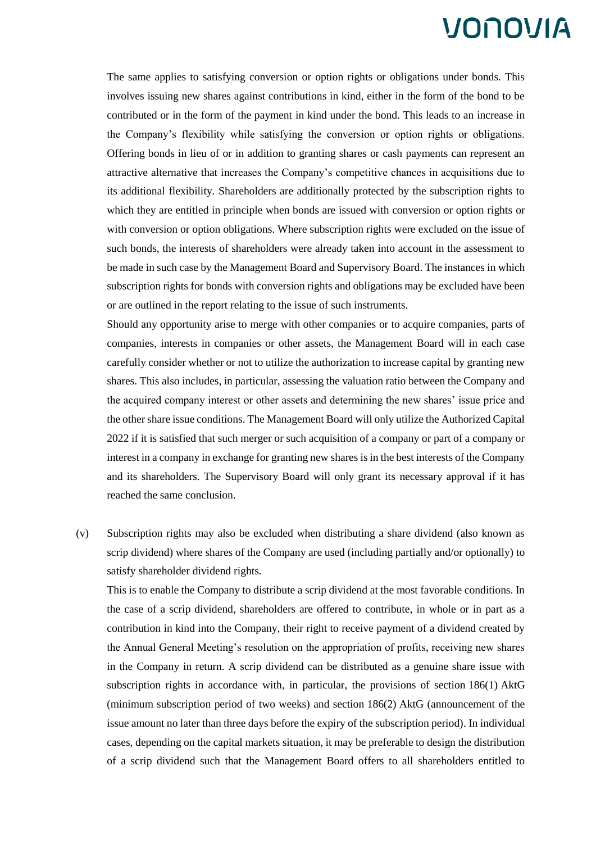The same applies to satisfying conversion or option rights or obligations under bonds. This involves issuing new shares against contributions in kind, either in the form of the bond to be contributed or in the form of the payment in kind under the bond. This leads to an increase in the Company's flexibility while satisfying the conversion or option rights or obligations. Offering bonds in lieu of or in addition to granting shares or cash payments can represent an attractive alternative that increases the Company's competitive chances in acquisitions due to its additional flexibility. Shareholders are additionally protected by the subscription rights to which they are entitled in principle when bonds are issued with conversion or option rights or with conversion or option obligations. Where subscription rights were excluded on the issue of such bonds, the interests of shareholders were already taken into account in the assessment to be made in such case by the Management Board and Supervisory Board. The instances in which subscription rights for bonds with conversion rights and obligations may be excluded have been or are outlined in the report relating to the issue of such instruments.

Should any opportunity arise to merge with other companies or to acquire companies, parts of companies, interests in companies or other assets, the Management Board will in each case carefully consider whether or not to utilize the authorization to increase capital by granting new shares. This also includes, in particular, assessing the valuation ratio between the Company and the acquired company interest or other assets and determining the new shares' issue price and the other share issue conditions. The Management Board will only utilize the Authorized Capital 2022 if it is satisfied that such merger or such acquisition of a company or part of a company or interest in a company in exchange for granting new shares is in the best interests of the Company and its shareholders. The Supervisory Board will only grant its necessary approval if it has reached the same conclusion.

(v) Subscription rights may also be excluded when distributing a share dividend (also known as scrip dividend) where shares of the Company are used (including partially and/or optionally) to satisfy shareholder dividend rights.

This is to enable the Company to distribute a scrip dividend at the most favorable conditions. In the case of a scrip dividend, shareholders are offered to contribute, in whole or in part as a contribution in kind into the Company, their right to receive payment of a dividend created by the Annual General Meeting's resolution on the appropriation of profits, receiving new shares in the Company in return. A scrip dividend can be distributed as a genuine share issue with subscription rights in accordance with, in particular, the provisions of section 186(1) AktG (minimum subscription period of two weeks) and section 186(2) AktG (announcement of the issue amount no later than three days before the expiry of the subscription period). In individual cases, depending on the capital markets situation, it may be preferable to design the distribution of a scrip dividend such that the Management Board offers to all shareholders entitled to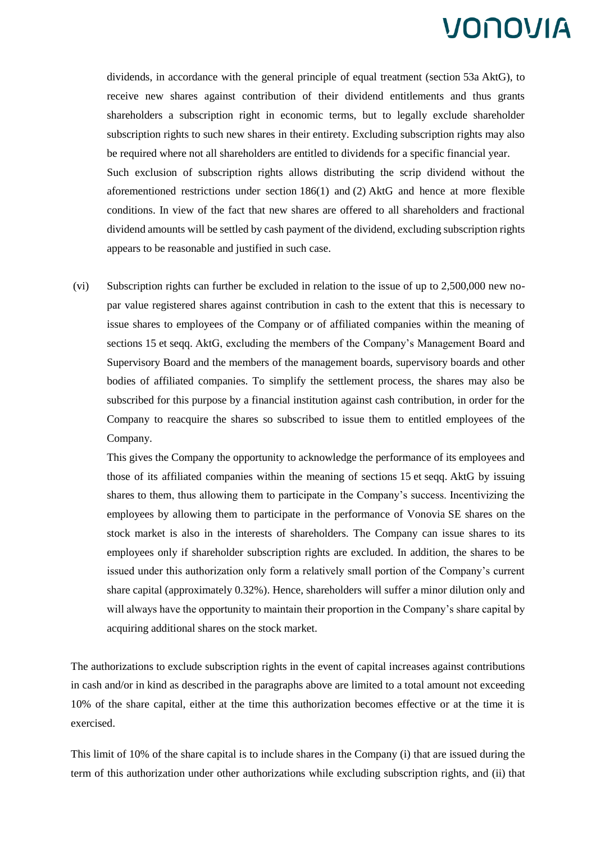dividends, in accordance with the general principle of equal treatment (section 53a AktG), to receive new shares against contribution of their dividend entitlements and thus grants shareholders a subscription right in economic terms, but to legally exclude shareholder subscription rights to such new shares in their entirety. Excluding subscription rights may also be required where not all shareholders are entitled to dividends for a specific financial year. Such exclusion of subscription rights allows distributing the scrip dividend without the aforementioned restrictions under section 186(1) and (2) AktG and hence at more flexible conditions. In view of the fact that new shares are offered to all shareholders and fractional dividend amounts will be settled by cash payment of the dividend, excluding subscription rights appears to be reasonable and justified in such case.

(vi) Subscription rights can further be excluded in relation to the issue of up to 2,500,000 new nopar value registered shares against contribution in cash to the extent that this is necessary to issue shares to employees of the Company or of affiliated companies within the meaning of sections 15 et seqq. AktG, excluding the members of the Company's Management Board and Supervisory Board and the members of the management boards, supervisory boards and other bodies of affiliated companies. To simplify the settlement process, the shares may also be subscribed for this purpose by a financial institution against cash contribution, in order for the Company to reacquire the shares so subscribed to issue them to entitled employees of the Company.

This gives the Company the opportunity to acknowledge the performance of its employees and those of its affiliated companies within the meaning of sections 15 et seqq. AktG by issuing shares to them, thus allowing them to participate in the Company's success. Incentivizing the employees by allowing them to participate in the performance of Vonovia SE shares on the stock market is also in the interests of shareholders. The Company can issue shares to its employees only if shareholder subscription rights are excluded. In addition, the shares to be issued under this authorization only form a relatively small portion of the Company's current share capital (approximately 0.32%). Hence, shareholders will suffer a minor dilution only and will always have the opportunity to maintain their proportion in the Company's share capital by acquiring additional shares on the stock market.

The authorizations to exclude subscription rights in the event of capital increases against contributions in cash and/or in kind as described in the paragraphs above are limited to a total amount not exceeding 10% of the share capital, either at the time this authorization becomes effective or at the time it is exercised.

This limit of 10% of the share capital is to include shares in the Company (i) that are issued during the term of this authorization under other authorizations while excluding subscription rights, and (ii) that